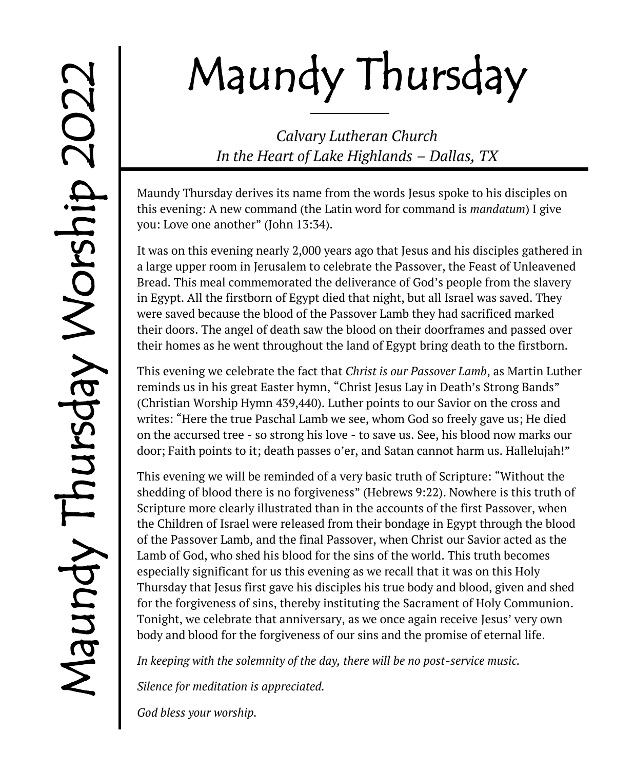# Maundy Thursday

*Calvary Lutheran Church In the Heart of Lake Highlands – Dallas, TX*

Maundy Thursday derives its name from the words Jesus spoke to his disciples on this evening: A new command (the Latin word for command is *mandatum*) I give you: Love one another" (John 13:34).

It was on this evening nearly 2,000 years ago that Jesus and his disciples gathered in a large upper room in Jerusalem to celebrate the Passover, the Feast of Unleavened Bread. This meal commemorated the deliverance of God's people from the slavery in Egypt. All the firstborn of Egypt died that night, but all Israel was saved. They were saved because the blood of the Passover Lamb they had sacrificed marked their doors. The angel of death saw the blood on their doorframes and passed over their homes as he went throughout the land of Egypt bring death to the firstborn.

This evening we celebrate the fact that *Christ is our Passover Lamb*, as Martin Luther reminds us in his great Easter hymn, "Christ Jesus Lay in Death's Strong Bands" (Christian Worship Hymn 439,440). Luther points to our Savior on the cross and writes: "Here the true Paschal Lamb we see, whom God so freely gave us; He died on the accursed tree - so strong his love - to save us. See, his blood now marks our door; Faith points to it; death passes o'er, and Satan cannot harm us. Hallelujah!"

This evening we will be reminded of a very basic truth of Scripture: "Without the shedding of blood there is no forgiveness" (Hebrews 9:22). Nowhere is this truth of Scripture more clearly illustrated than in the accounts of the first Passover, when the Children of Israel were released from their bondage in Egypt through the blood of the Passover Lamb, and the final Passover, when Christ our Savior acted as the Lamb of God, who shed his blood for the sins of the world. This truth becomes especially significant for us this evening as we recall that it was on this Holy Thursday that Jesus first gave his disciples his true body and blood, given and shed for the forgiveness of sins, thereby instituting the Sacrament of Holy Communion. Tonight, we celebrate that anniversary, as we once again receive Jesus' very own body and blood for the forgiveness of our sins and the promise of eternal life.

*In keeping with the solemnity of the day, there will be no post-service music.* 

*Silence for meditation is appreciated.*

*God bless your worship.*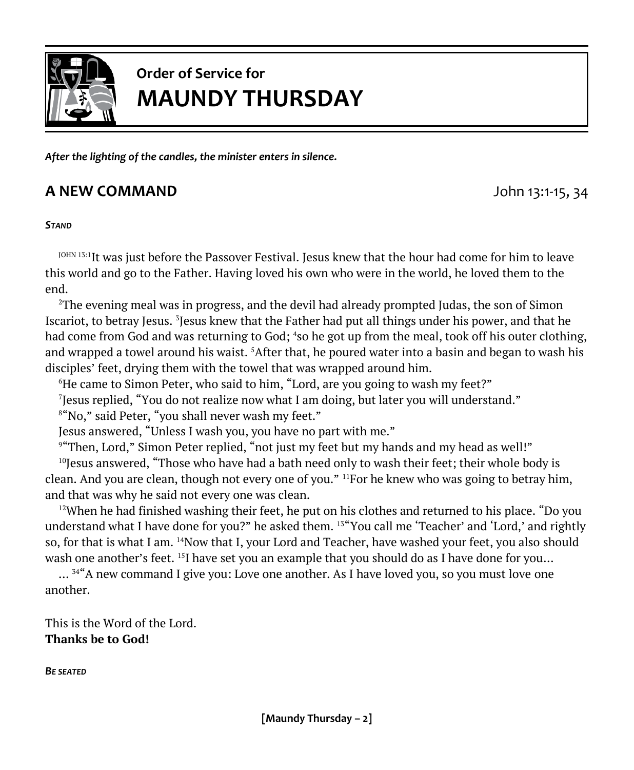

# **Order of Service for MAUNDY THURSDAY**

*After the lighting of the candles, the minister enters in silence.*

#### **A NEW COMMAND A NEW COMMAND John 13:1-15, 34**

#### *STAND*

 $^{10\text{H}N}$  13:1 $\text{It}$  was just before the Passover Festival. Jesus knew that the hour had come for him to leave this world and go to the Father. Having loved his own who were in the world, he loved them to the end.

<sup>2</sup>The evening meal was in progress, and the devil had already prompted Judas, the son of Simon Iscariot, to betray Jesus. <sup>3</sup>Jesus knew that the Father had put all things under his power, and that he had come from God and was returning to God; <sup>4</sup>so he got up from the meal, took off his outer clothing, and wrapped a towel around his waist. <sup>5</sup>After that, he poured water into a basin and began to wash his disciples' feet, drying them with the towel that was wrapped around him.

<sup>6</sup>He came to Simon Peter, who said to him, "Lord, are you going to wash my feet?"

7 Jesus replied, "You do not realize now what I am doing, but later you will understand."

8 "No," said Peter, "you shall never wash my feet."

Jesus answered, "Unless I wash you, you have no part with me."

9 "Then, Lord," Simon Peter replied, "not just my feet but my hands and my head as well!"

 $10$ Jesus answered, "Those who have had a bath need only to wash their feet; their whole body is clean. And you are clean, though not every one of you." <sup>11</sup>For he knew who was going to betray him, and that was why he said not every one was clean.

 $12$ When he had finished washing their feet, he put on his clothes and returned to his place. "Do you understand what I have done for you?" he asked them. <sup>13"</sup>You call me 'Teacher' and 'Lord,' and rightly so, for that is what I am. <sup>14</sup>Now that I, your Lord and Teacher, have washed your feet, you also should wash one another's feet. <sup>15</sup>I have set you an example that you should do as I have done for you...

...<sup>34"</sup>A new command I give you: Love one another. As I have loved you, so you must love one another.

This is the Word of the Lord. **Thanks be to God!**

*BE SEATED*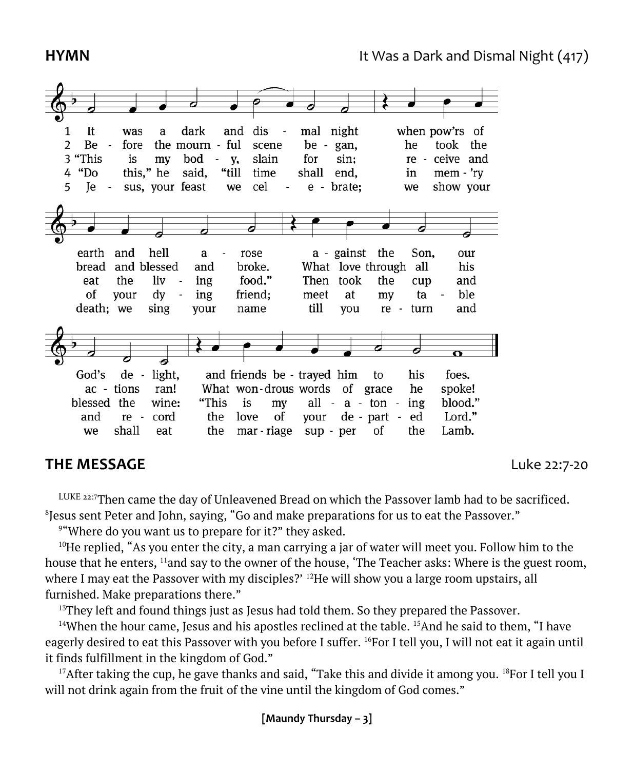

dis

 $\overline{\phantom{a}}$ 

mal

night

when pow'rs of

and

#### **THE MESSAGE** Luke 22:7-20

LUKE 22:7Then came the day of Unleavened Bread on which the Passover lamb had to be sacrificed.  $^8$ Jesus sent Peter and John, saying, "Go and make preparations for us to eat the Passover."  $\,$ 

<sup>9</sup> "Where do you want us to prepare for it?" they asked.

<sup>10</sup>He replied, "As you enter the city, a man carrying a jar of water will meet you. Follow him to the house that he enters, <sup>11</sup>and say to the owner of the house, 'The Teacher asks: Where is the guest room, where I may eat the Passover with my disciples?'  $^{12}$ He will show you a large room upstairs, all furnished. Make preparations there."

 $13$ They left and found things just as Jesus had told them. So they prepared the Passover.

<sup>14</sup>When the hour came, Jesus and his apostles reclined at the table. <sup>15</sup>And he said to them, "I have eagerly desired to eat this Passover with you before I suffer. <sup>16</sup>For I tell you, I will not eat it again until it finds fulfillment in the kingdom of God."

<sup>17</sup>After taking the cup, he gave thanks and said, "Take this and divide it among you. <sup>18</sup>For I tell you I will not drink again from the fruit of the vine until the kingdom of God comes."

1 It was

a

dark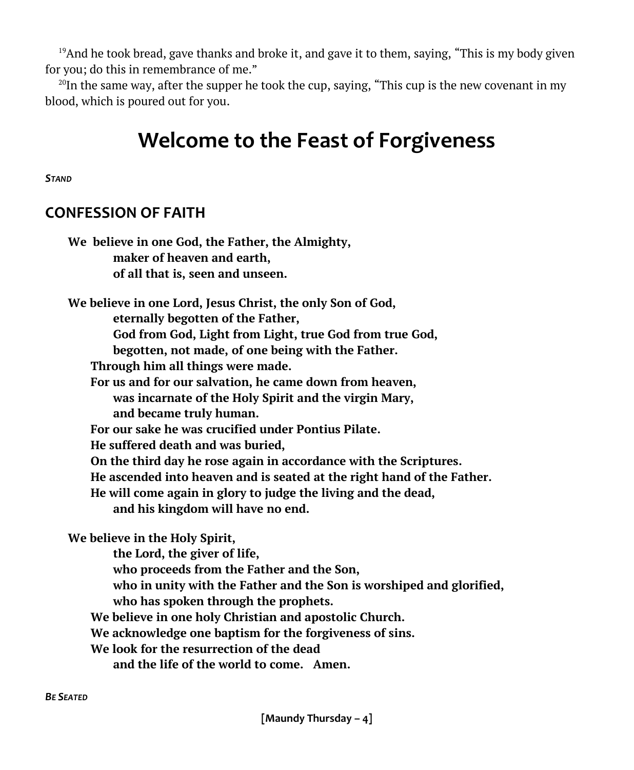<sup>19</sup>And he took bread, gave thanks and broke it, and gave it to them, saying, "This is my body given for you; do this in remembrance of me."

<sup>20</sup>In the same way, after the supper he took the cup, saying, "This cup is the new covenant in my blood, which is poured out for you.

# **Welcome to the Feast of Forgiveness**

*STAND*

#### **CONFESSION OF FAITH**

| We believe in one God, the Father, the Almighty,                       |
|------------------------------------------------------------------------|
| maker of heaven and earth,                                             |
| of all that is, seen and unseen.                                       |
| We believe in one Lord, Jesus Christ, the only Son of God,             |
| eternally begotten of the Father,                                      |
| God from God, Light from Light, true God from true God,                |
| begotten, not made, of one being with the Father.                      |
| Through him all things were made.                                      |
| For us and for our salvation, he came down from heaven,                |
| was incarnate of the Holy Spirit and the virgin Mary,                  |
| and became truly human.                                                |
| For our sake he was crucified under Pontius Pilate.                    |
| He suffered death and was buried,                                      |
| On the third day he rose again in accordance with the Scriptures.      |
| He ascended into heaven and is seated at the right hand of the Father. |
| He will come again in glory to judge the living and the dead,          |
| and his kingdom will have no end.                                      |
| We believe in the Holy Spirit,                                         |
| the Lord, the giver of life,                                           |
| who proceeds from the Father and the Son,                              |
| who in unity with the Father and the Son is worshiped and glorified,   |
| who has spoken through the prophets.                                   |
| We believe in one holy Christian and apostolic Church.                 |
| We acknowledge one baptism for the forgiveness of sins.                |
| We look for the resurrection of the dead                               |
| and the life of the world to come. Amen.                               |
|                                                                        |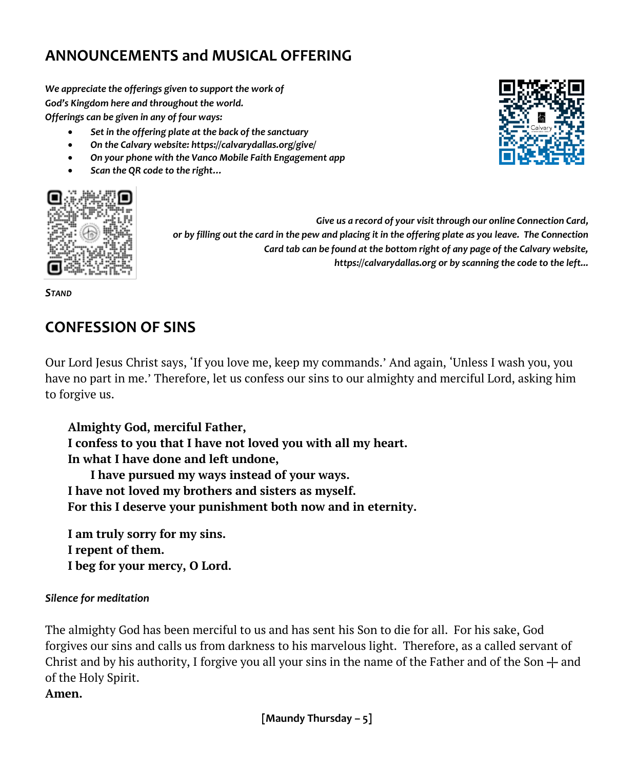### **ANNOUNCEMENTS and MUSICAL OFFERING**

*We appreciate the offerings given to support the work of God's Kingdom here and throughout the world. Offerings can be given in any of four ways:*

- *Set in the offering plate at the back of the sanctuary*
- *On the Calvary website: https://calvarydallas.org/give/*
- *On your phone with the Vanco Mobile Faith Engagement app*
- *Scan the QR code to the right…*



*Give us a record of your visit through our online Connection Card, or by filling out the card in the pew and placing it in the offering plate as you leave. The Connection Card tab can be found at the bottom right of any page of the Calvary website, https://calvarydallas.org or by scanning the code to the left...*

*STAND*

#### **CONFESSION OF SINS**

Our Lord Jesus Christ says, 'If you love me, keep my commands.' And again, 'Unless I wash you, you have no part in me.' Therefore, let us confess our sins to our almighty and merciful Lord, asking him to forgive us.

**Almighty God, merciful Father, I confess to you that I have not loved you with all my heart. In what I have done and left undone, I have pursued my ways instead of your ways. I have not loved my brothers and sisters as myself. For this I deserve your punishment both now and in eternity.** 

**I am truly sorry for my sins. I repent of them. I beg for your mercy, O Lord.** 

#### *Silence for meditation*

The almighty God has been merciful to us and has sent his Son to die for all. For his sake, God forgives our sins and calls us from darkness to his marvelous light. Therefore, as a called servant of Christ and by his authority, I forgive you all your sins in the name of the Father and of the Son  $+$  and of the Holy Spirit.

**Amen.** 

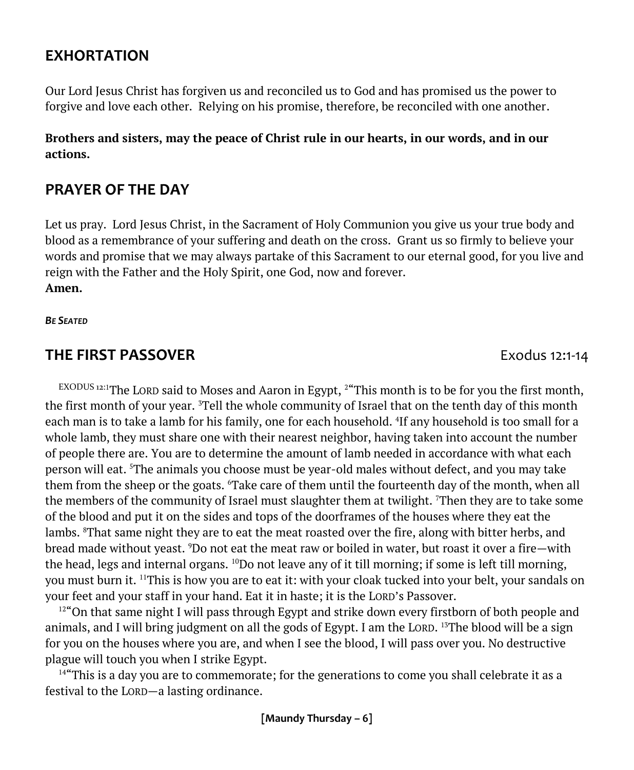#### **EXHORTATION**

Our Lord Jesus Christ has forgiven us and reconciled us to God and has promised us the power to forgive and love each other. Relying on his promise, therefore, be reconciled with one another.

**Brothers and sisters, may the peace of Christ rule in our hearts, in our words, and in our actions.**

#### **PRAYER OF THE DAY**

Let us pray. Lord Jesus Christ, in the Sacrament of Holy Communion you give us your true body and blood as a remembrance of your suffering and death on the cross. Grant us so firmly to believe your words and promise that we may always partake of this Sacrament to our eternal good, for you live and reign with the Father and the Holy Spirit, one God, now and forever. **Amen.**

*BE SEATED*

#### **THE FIRST PASSOVER** Exodus 12:1-14

 $EXODUS 12:1$ The LORD said to Moses and Aaron in Egypt,  $2$ "This month is to be for you the first month, the first month of your year. <sup>3</sup>Tell the whole community of Israel that on the tenth day of this month each man is to take a lamb for his family, one for each household. <sup>4</sup> If any household is too small for a whole lamb, they must share one with their nearest neighbor, having taken into account the number of people there are. You are to determine the amount of lamb needed in accordance with what each person will eat. <sup>5</sup>The animals you choose must be year-old males without defect, and you may take them from the sheep or the goats. <sup>6</sup>Take care of them until the fourteenth day of the month, when all the members of the community of Israel must slaughter them at twilight. <sup>7</sup>Then they are to take some of the blood and put it on the sides and tops of the doorframes of the houses where they eat the lambs. <sup>8</sup>That same night they are to eat the meat roasted over the fire, along with bitter herbs, and bread made without yeast. <sup>9</sup>Do not eat the meat raw or boiled in water, but roast it over a fire—with the head, legs and internal organs.  $^{10}$ Do not leave any of it till morning; if some is left till morning, you must burn it. <sup>11</sup>This is how you are to eat it: with your cloak tucked into your belt, your sandals on your feet and your staff in your hand. Eat it in haste; it is the LORD's Passover.

<sup>12"</sup>On that same night I will pass through Egypt and strike down every firstborn of both people and animals, and I will bring judgment on all the gods of Egypt. I am the LORD. <sup>13</sup>The blood will be a sign for you on the houses where you are, and when I see the blood, I will pass over you. No destructive plague will touch you when I strike Egypt.

<sup>14"</sup>This is a day you are to commemorate; for the generations to come you shall celebrate it as a festival to the LORD—a lasting ordinance.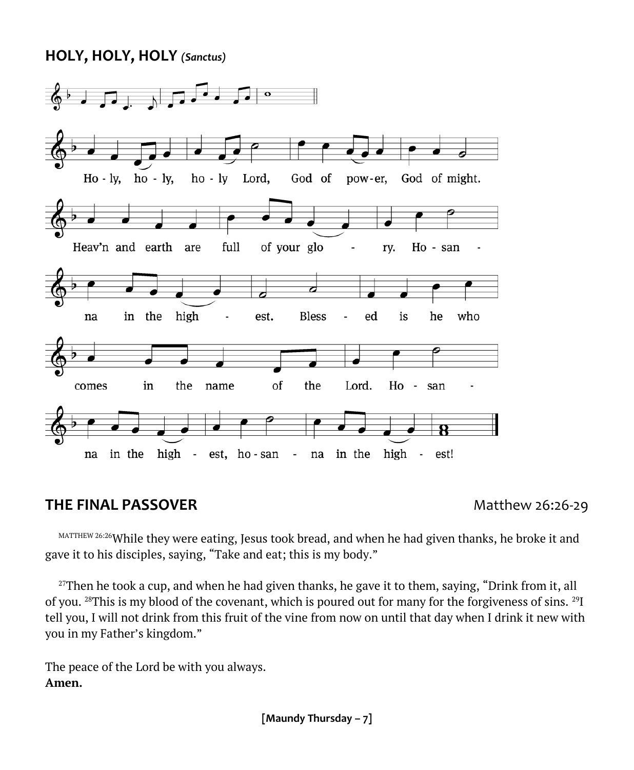#### **HOLY, HOLY, HOLY** *(Sanctus)*



#### **THE FINAL PASSOVER** Matthew 26:26-29

MATTHEW 26:26While they were eating, Jesus took bread, and when he had given thanks, he broke it and gave it to his disciples, saying, "Take and eat; this is my body."

 $27$ Then he took a cup, and when he had given thanks, he gave it to them, saying, "Drink from it, all of you. <sup>28</sup>This is my blood of the covenant, which is poured out for many for the forgiveness of sins. <sup>29</sup>I tell you, I will not drink from this fruit of the vine from now on until that day when I drink it new with you in my Father's kingdom."

The peace of the Lord be with you always. **Amen.**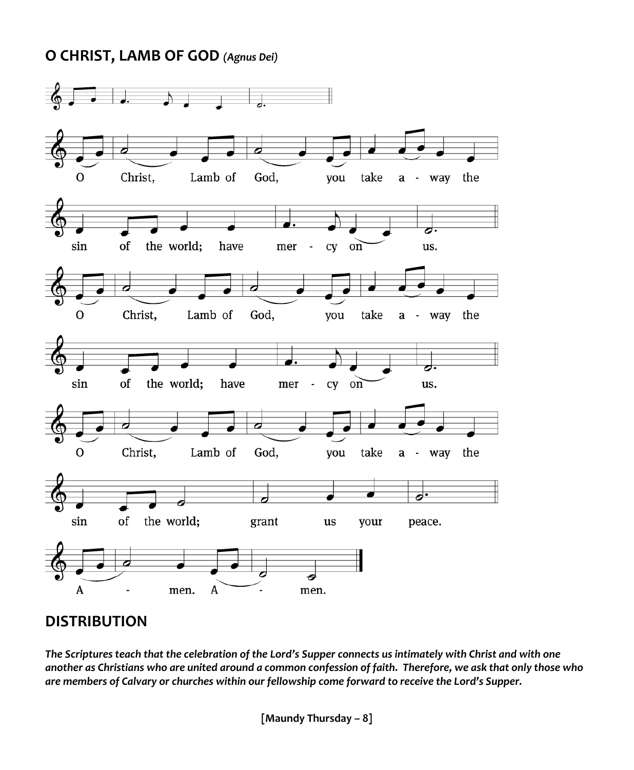#### **O CHRIST, LAMB OF GOD** *(Agnus Dei)*



#### **DISTRIBUTION**

*The Scriptures teach that the celebration of the Lord's Supper connects us intimately with Christ and with one another as Christians who are united around a common confession of faith. Therefore, we ask that only those who are members of Calvary or churches within our fellowship come forward to receive the Lord's Supper.*

**[Maundy Thursday – 8]**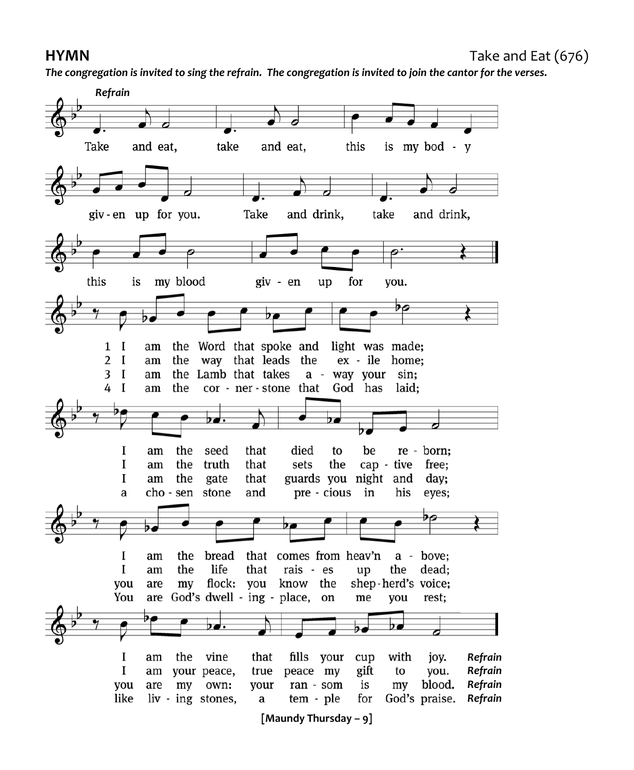*The congregation is invited to sing the refrain. The congregation is invited to join the cantor for the verses.*

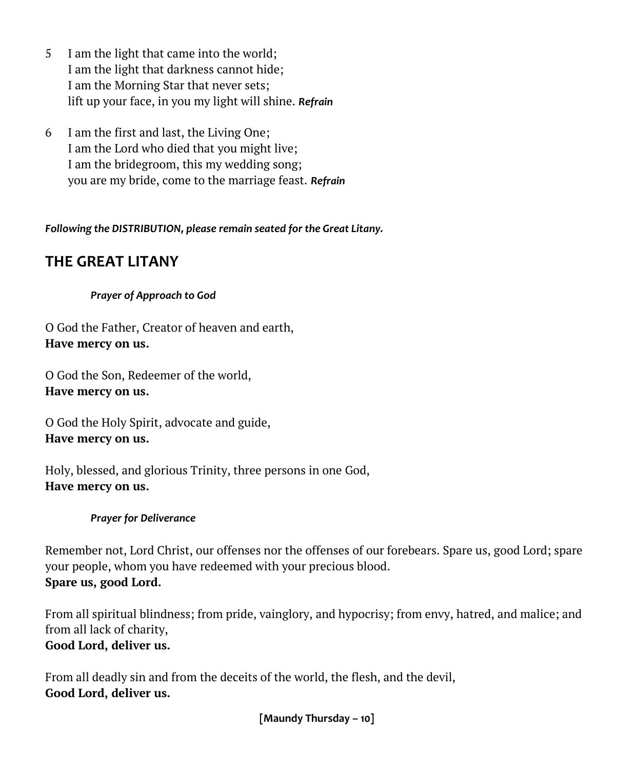- 5 I am the light that came into the world; I am the light that darkness cannot hide; I am the Morning Star that never sets; lift up your face, in you my light will shine. *Refrain*
- 6 I am the first and last, the Living One; I am the Lord who died that you might live; I am the bridegroom, this my wedding song; you are my bride, come to the marriage feast. *Refrain*

*Following the DISTRIBUTION, please remain seated for the Great Litany.*

#### **THE GREAT LITANY**

#### *Prayer of Approach to God*

O God the Father, Creator of heaven and earth, **Have mercy on us.**

O God the Son, Redeemer of the world, **Have mercy on us.**

O God the Holy Spirit, advocate and guide, **Have mercy on us.**

Holy, blessed, and glorious Trinity, three persons in one God, **Have mercy on us.**

#### *Prayer for Deliverance*

Remember not, Lord Christ, our offenses nor the offenses of our forebears. Spare us, good Lord; spare your people, whom you have redeemed with your precious blood. **Spare us, good Lord.**

From all spiritual blindness; from pride, vainglory, and hypocrisy; from envy, hatred, and malice; and from all lack of charity, **Good Lord, deliver us.**

From all deadly sin and from the deceits of the world, the flesh, and the devil, **Good Lord, deliver us.**

**[Maundy Thursday – 10]**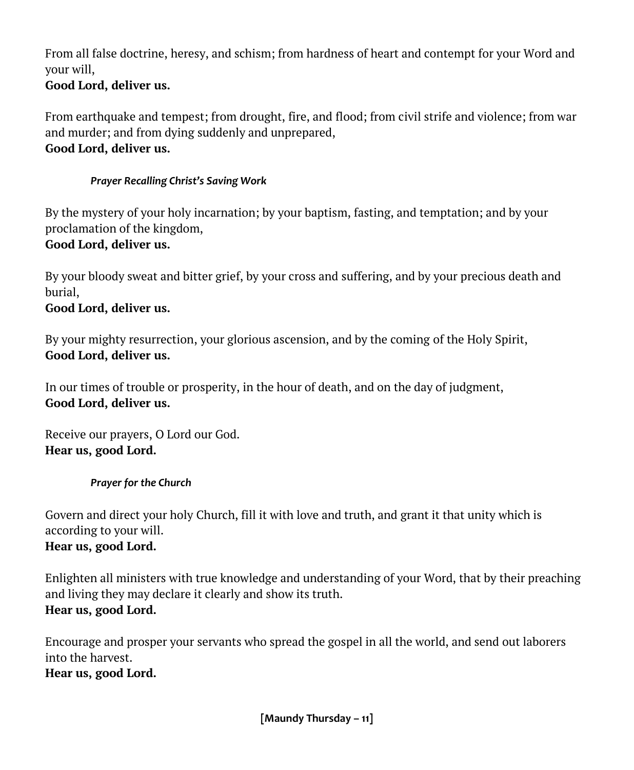From all false doctrine, heresy, and schism; from hardness of heart and contempt for your Word and your will,

#### **Good Lord, deliver us.**

From earthquake and tempest; from drought, fire, and flood; from civil strife and violence; from war and murder; and from dying suddenly and unprepared, **Good Lord, deliver us.**

#### *Prayer Recalling Christ's Saving Work*

By the mystery of your holy incarnation; by your baptism, fasting, and temptation; and by your proclamation of the kingdom,

#### **Good Lord, deliver us.**

By your bloody sweat and bitter grief, by your cross and suffering, and by your precious death and burial,

#### **Good Lord, deliver us.**

By your mighty resurrection, your glorious ascension, and by the coming of the Holy Spirit, **Good Lord, deliver us.**

In our times of trouble or prosperity, in the hour of death, and on the day of judgment, **Good Lord, deliver us.**

Receive our prayers, O Lord our God. **Hear us, good Lord.**

#### *Prayer for the Church*

Govern and direct your holy Church, fill it with love and truth, and grant it that unity which is according to your will. **Hear us, good Lord.**

#### Enlighten all ministers with true knowledge and understanding of your Word, that by their preaching and living they may declare it clearly and show its truth. **Hear us, good Lord.**

Encourage and prosper your servants who spread the gospel in all the world, and send out laborers into the harvest.

**Hear us, good Lord.**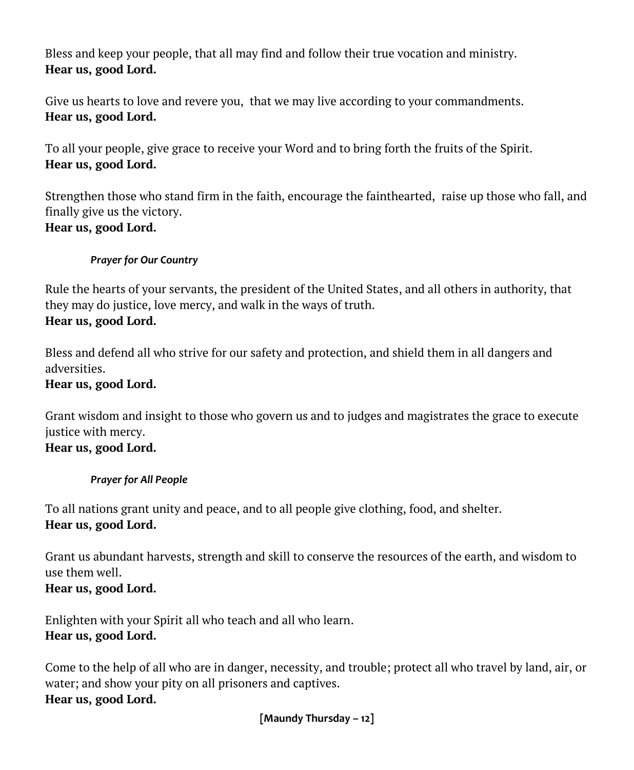Bless and keep your people, that all may find and follow their true vocation and ministry. **Hear us, good Lord.**

Give us hearts to love and revere you, that we may live according to your commandments. **Hear us, good Lord.**

To all your people, give grace to receive your Word and to bring forth the fruits of the Spirit. **Hear us, good Lord.**

Strengthen those who stand firm in the faith, encourage the fainthearted, raise up those who fall, and finally give us the victory. **Hear us, good Lord.**

#### *Prayer for Our Country*

Rule the hearts of your servants, the president of the United States, and all others in authority, that they may do justice, love mercy, and walk in the ways of truth. **Hear us, good Lord.**

Bless and defend all who strive for our safety and protection, and shield them in all dangers and adversities.

#### **Hear us, good Lord.**

Grant wisdom and insight to those who govern us and to judges and magistrates the grace to execute justice with mercy. **Hear us, good Lord.**

#### *Prayer for All People*

To all nations grant unity and peace, and to all people give clothing, food, and shelter. **Hear us, good Lord.**

Grant us abundant harvests, strength and skill to conserve the resources of the earth, and wisdom to use them well. **Hear us, good Lord.**

Enlighten with your Spirit all who teach and all who learn. **Hear us, good Lord.**

Come to the help of all who are in danger, necessity, and trouble; protect all who travel by land, air, or water; and show your pity on all prisoners and captives. **Hear us, good Lord.**

**[Maundy Thursday – 12]**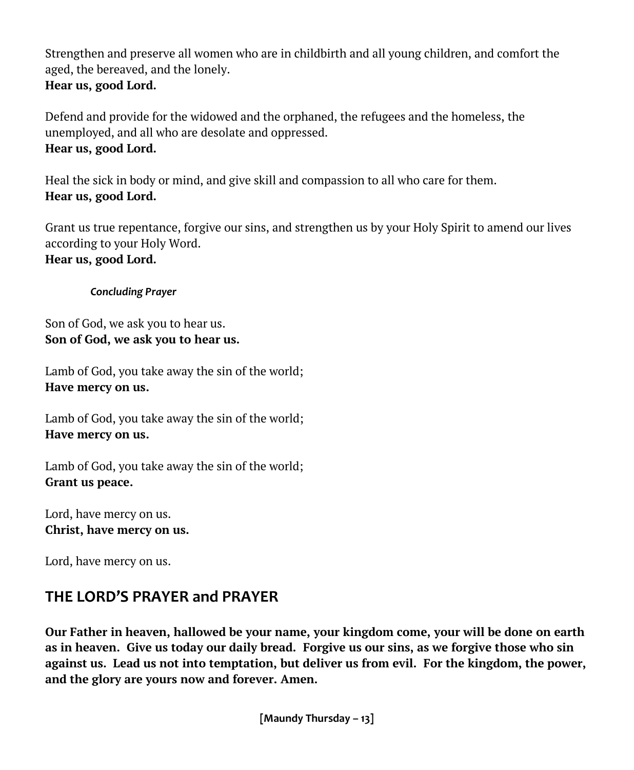Strengthen and preserve all women who are in childbirth and all young children, and comfort the aged, the bereaved, and the lonely. **Hear us, good Lord.**

Defend and provide for the widowed and the orphaned, the refugees and the homeless, the unemployed, and all who are desolate and oppressed. **Hear us, good Lord.**

Heal the sick in body or mind, and give skill and compassion to all who care for them. **Hear us, good Lord.**

Grant us true repentance, forgive our sins, and strengthen us by your Holy Spirit to amend our lives according to your Holy Word. **Hear us, good Lord.**

*Concluding Prayer*

Son of God, we ask you to hear us. **Son of God, we ask you to hear us.**

Lamb of God, you take away the sin of the world; **Have mercy on us.**

Lamb of God, you take away the sin of the world; **Have mercy on us.**

Lamb of God, you take away the sin of the world; **Grant us peace.**

Lord, have mercy on us. **Christ, have mercy on us.**

Lord, have mercy on us.

#### **THE LORD'S PRAYER and PRAYER**

**Our Father in heaven, hallowed be your name, your kingdom come, your will be done on earth as in heaven. Give us today our daily bread. Forgive us our sins, as we forgive those who sin against us. Lead us not into temptation, but deliver us from evil. For the kingdom, the power, and the glory are yours now and forever. Amen.**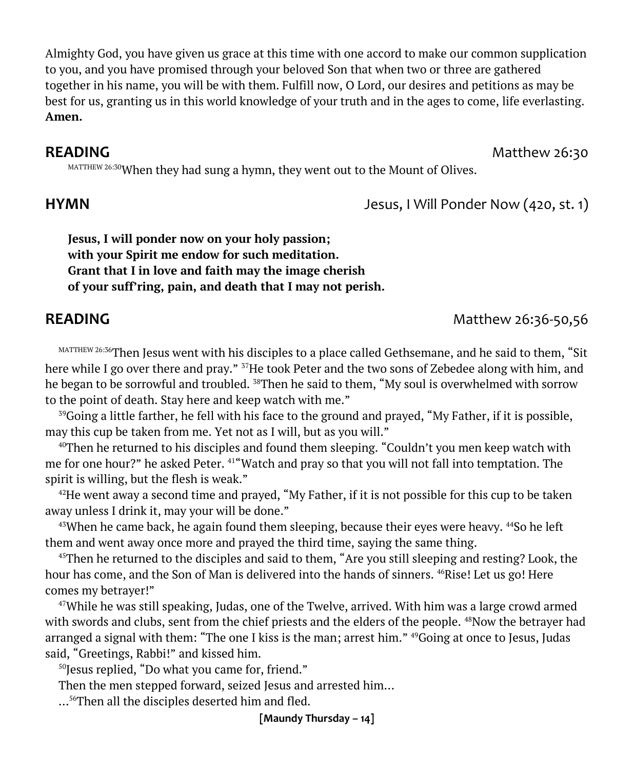Almighty God, you have given us grace at this time with one accord to make our common supplication to you, and you have promised through your beloved Son that when two or three are gathered together in his name, you will be with them. Fulfill now, O Lord, our desires and petitions as may be best for us, granting us in this world knowledge of your truth and in the ages to come, life everlasting. **Amen.**

#### **READING** Matthew 26:30

MATTHEW 26:30 When they had sung a hymn, they went out to the Mount of Olives.

**Jesus, I will ponder now on your holy passion; with your Spirit me endow for such meditation. Grant that I in love and faith may the image cherish of your suff'ring, pain, and death that I may not perish.**

MATTHEW 26:36Then Jesus went with his disciples to a place called Gethsemane, and he said to them, "Sit here while I go over there and pray." <sup>37</sup>He took Peter and the two sons of Zebedee along with him, and he began to be sorrowful and troubled. <sup>38</sup>Then he said to them, "My soul is overwhelmed with sorrow to the point of death. Stay here and keep watch with me."

<sup>39</sup>Going a little farther, he fell with his face to the ground and prayed, "My Father, if it is possible, may this cup be taken from me. Yet not as I will, but as you will."

 $40$ Then he returned to his disciples and found them sleeping. "Couldn't you men keep watch with me for one hour?" he asked Peter. <sup>41</sup>"Watch and pray so that you will not fall into temptation. The spirit is willing, but the flesh is weak."

 $42$ He went away a second time and prayed, "My Father, if it is not possible for this cup to be taken away unless I drink it, may your will be done."

 $43$ When he came back, he again found them sleeping, because their eyes were heavy.  $44$ So he left them and went away once more and prayed the third time, saying the same thing.

<sup>45</sup>Then he returned to the disciples and said to them, "Are you still sleeping and resting? Look, the hour has come, and the Son of Man is delivered into the hands of sinners. <sup>46</sup>Rise! Let us go! Here comes my betrayer!"

 $47$ While he was still speaking, Judas, one of the Twelve, arrived. With him was a large crowd armed with swords and clubs, sent from the chief priests and the elders of the people. <sup>48</sup>Now the betrayer had arranged a signal with them: "The one I kiss is the man; arrest him." <sup>49</sup>Going at once to Jesus, Judas said, "Greetings, Rabbi!" and kissed him.

<sup>50</sup>Jesus replied, "Do what you came for, friend."

Then the men stepped forward, seized Jesus and arrested him…

…56Then all the disciples deserted him and fled.

**[Maundy Thursday – 14]**

#### **READING** Matthew 26:36-50,56

**HYMN** Jesus, I Will Ponder Now (420, st. 1)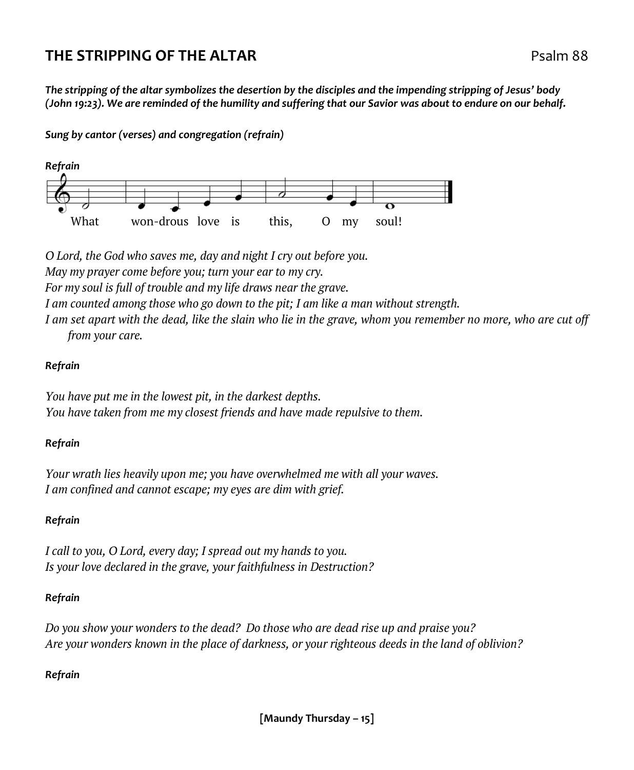#### **THE STRIPPING OF THE ALTAR Properties and the STRIPPING OF THE ALTAR**

*The stripping of the altar symbolizes the desertion by the disciples and the impending stripping of Jesus' body (John 19:23). We are reminded of the humility and suffering that our Savior was about to endure on our behalf.*

*Sung by cantor (verses) and congregation (refrain)* 



*O Lord, the God who saves me, day and night I cry out before you. May my prayer come before you; turn your ear to my cry. For my soul is full of trouble and my life draws near the grave. I am counted among those who go down to the pit; I am like a man without strength. I am set apart with the dead, like the slain who lie in the grave, whom you remember no more, who are cut off* 

*from your care.* 

#### *Refrain*

*You have put me in the lowest pit, in the darkest depths. You have taken from me my closest friends and have made repulsive to them.* 

#### *Refrain*

*Your wrath lies heavily upon me; you have overwhelmed me with all your waves. I am confined and cannot escape; my eyes are dim with grief.* 

#### *Refrain*

*I call to you, O Lord, every day; I spread out my hands to you. Is your love declared in the grave, your faithfulness in Destruction?* 

#### *Refrain*

*Do you show your wonders to the dead? Do those who are dead rise up and praise you? Are your wonders known in the place of darkness, or your righteous deeds in the land of oblivion?* 

#### *Refrain*